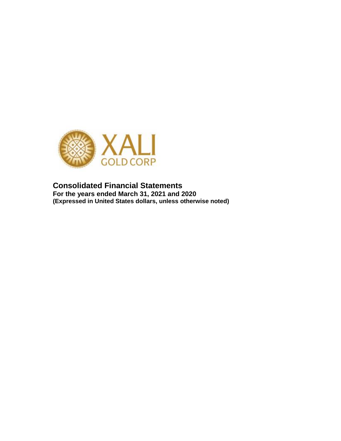

**Consolidated Financial Statements For the years ended March 31, 2021 and 2020 (Expressed in United States dollars, unless otherwise noted)**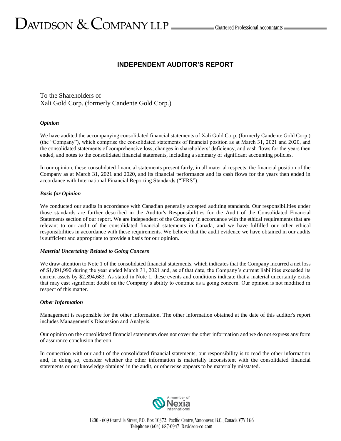# **INDEPENDENT AUDITOR'S REPORT**

To the Shareholders of Xali Gold Corp. (formerly Candente Gold Corp.)

## *Opinion*

We have audited the accompanying consolidated financial statements of Xali Gold Corp. (formerly Candente Gold Corp.) (the "Company"), which comprise the consolidated statements of financial position as at March 31, 2021 and 2020, and the consolidated statements of comprehensive loss, changes in shareholders' deficiency, and cash flows for the years then ended, and notes to the consolidated financial statements, including a summary of significant accounting policies.

In our opinion, these consolidated financial statements present fairly, in all material respects, the financial position of the Company as at March 31, 2021 and 2020, and its financial performance and its cash flows for the years then ended in accordance with International Financial Reporting Standards ("IFRS").

## *Basis for Opinion*

We conducted our audits in accordance with Canadian generally accepted auditing standards. Our responsibilities under those standards are further described in the Auditor's Responsibilities for the Audit of the Consolidated Financial Statements section of our report. We are independent of the Company in accordance with the ethical requirements that are relevant to our audit of the consolidated financial statements in Canada, and we have fulfilled our other ethical responsibilities in accordance with these requirements. We believe that the audit evidence we have obtained in our audits is sufficient and appropriate to provide a basis for our opinion.

#### *Material Uncertainty Related to Going Concern*

We draw attention to Note 1 of the consolidated financial statements, which indicates that the Company incurred a net loss of \$1,091,990 during the year ended March 31, 2021 and, as of that date, the Company's current liabilities exceeded its current assets by \$2,394,683. As stated in Note 1, these events and conditions indicate that a material uncertainty exists that may cast significant doubt on the Company's ability to continue as a going concern. Our opinion is not modified in respect of this matter.

#### *Other Information*

Management is responsible for the other information. The other information obtained at the date of this auditor's report includes Management's Discussion and Analysis.

Our opinion on the consolidated financial statements does not cover the other information and we do not express any form of assurance conclusion thereon.

In connection with our audit of the consolidated financial statements, our responsibility is to read the other information and, in doing so, consider whether the other information is materially inconsistent with the consolidated financial statements or our knowledge obtained in the audit, or otherwise appears to be materially misstated.

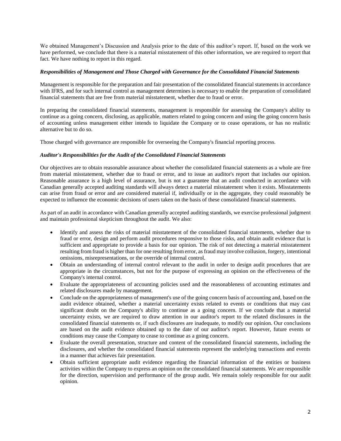We obtained Management's Discussion and Analysis prior to the date of this auditor's report. If, based on the work we have performed, we conclude that there is a material misstatement of this other information, we are required to report that fact. We have nothing to report in this regard.

#### *Responsibilities of Management and Those Charged with Governance for the Consolidated Financial Statements*

Management is responsible for the preparation and fair presentation of the consolidated financial statements in accordance with IFRS, and for such internal control as management determines is necessary to enable the preparation of consolidated financial statements that are free from material misstatement, whether due to fraud or error.

In preparing the consolidated financial statements, management is responsible for assessing the Company's ability to continue as a going concern, disclosing, as applicable, matters related to going concern and using the going concern basis of accounting unless management either intends to liquidate the Company or to cease operations, or has no realistic alternative but to do so.

Those charged with governance are responsible for overseeing the Company's financial reporting process.

## *Auditor's Responsibilities for the Audit of the Consolidated Financial Statements*

Our objectives are to obtain reasonable assurance about whether the consolidated financial statements as a whole are free from material misstatement, whether due to fraud or error, and to issue an auditor's report that includes our opinion. Reasonable assurance is a high level of assurance, but is not a guarantee that an audit conducted in accordance with Canadian generally accepted auditing standards will always detect a material misstatement when it exists. Misstatements can arise from fraud or error and are considered material if, individually or in the aggregate, they could reasonably be expected to influence the economic decisions of users taken on the basis of these consolidated financial statements.

As part of an audit in accordance with Canadian generally accepted auditing standards, we exercise professional judgment and maintain professional skepticism throughout the audit. We also:

- Identify and assess the risks of material misstatement of the consolidated financial statements, whether due to fraud or error, design and perform audit procedures responsive to those risks, and obtain audit evidence that is sufficient and appropriate to provide a basis for our opinion. The risk of not detecting a material misstatement resulting from fraud is higher than for one resulting from error, as fraud may involve collusion, forgery, intentional omissions, misrepresentations, or the override of internal control.
- Obtain an understanding of internal control relevant to the audit in order to design audit procedures that are appropriate in the circumstances, but not for the purpose of expressing an opinion on the effectiveness of the Company's internal control.
- Evaluate the appropriateness of accounting policies used and the reasonableness of accounting estimates and related disclosures made by management.
- Conclude on the appropriateness of management's use of the going concern basis of accounting and, based on the audit evidence obtained, whether a material uncertainty exists related to events or conditions that may cast significant doubt on the Company's ability to continue as a going concern. If we conclude that a material uncertainty exists, we are required to draw attention in our auditor's report to the related disclosures in the consolidated financial statements or, if such disclosures are inadequate, to modify our opinion. Our conclusions are based on the audit evidence obtained up to the date of our auditor's report. However, future events or conditions may cause the Company to cease to continue as a going concern.
- Evaluate the overall presentation, structure and content of the consolidated financial statements, including the disclosures, and whether the consolidated financial statements represent the underlying transactions and events in a manner that achieves fair presentation.
- Obtain sufficient appropriate audit evidence regarding the financial information of the entities or business activities within the Company to express an opinion on the consolidated financial statements. We are responsible for the direction, supervision and performance of the group audit. We remain solely responsible for our audit opinion.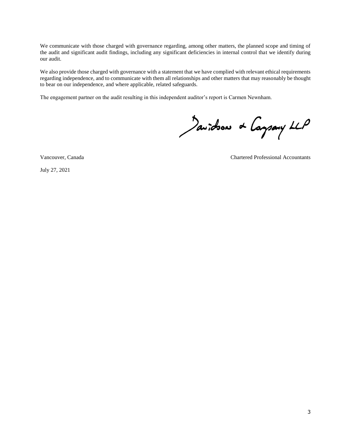We communicate with those charged with governance regarding, among other matters, the planned scope and timing of the audit and significant audit findings, including any significant deficiencies in internal control that we identify during our audit.

We also provide those charged with governance with a statement that we have complied with relevant ethical requirements regarding independence, and to communicate with them all relationships and other matters that may reasonably be thought to bear on our independence, and where applicable, related safeguards.

The engagement partner on the audit resulting in this independent auditor's report is Carmen Newnham.

Javidson & Caysany LLP

July 27, 2021

Vancouver, Canada Chartered Professional Accountants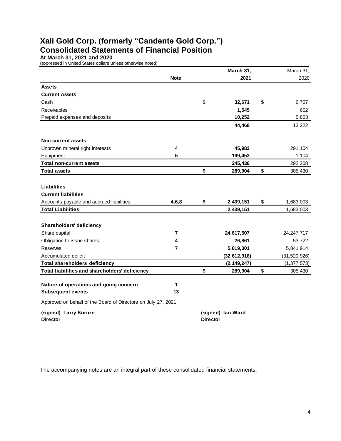# **Xali Gold Corp. (formerly "Candente Gold Corp.") Consolidated Statements of Financial Position**

**At March 31, 2021 and 2020**

(expressed in United States dollars unless otherwise noted)

|                                                               |             |                 | March 31,         | March 31,       |
|---------------------------------------------------------------|-------------|-----------------|-------------------|-----------------|
|                                                               | <b>Note</b> |                 | 2021              | 2020            |
| <b>Assets</b>                                                 |             |                 |                   |                 |
| <b>Current Assets</b>                                         |             |                 |                   |                 |
| Cash                                                          |             | \$              | 32,671            | \$<br>6,767     |
| Receivables                                                   |             |                 | 1,545             | 652             |
| Prepaid expenses and deposits                                 |             |                 | 10,252            | 5,803           |
|                                                               |             |                 | 44,468            | 13,222          |
| <b>Non-current assets</b>                                     |             |                 |                   |                 |
| Unproven mineral right interests                              | 4           |                 | 45,983            | 291,104         |
| Equipment                                                     | 5           |                 | 199,453           | 1,104           |
| <b>Total non-current assets</b>                               |             |                 | 245,436           | 292,208         |
| <b>Total assets</b>                                           |             | \$              | 289,904           | \$<br>305,430   |
|                                                               |             |                 |                   |                 |
| <b>Liabilities</b>                                            |             |                 |                   |                 |
| <b>Current liabilities</b>                                    |             |                 |                   |                 |
| Accounts payable and accrued liabilities                      | 4,6,8       | \$              | 2,439,151         | \$<br>1,683,003 |
| <b>Total Liabilities</b>                                      |             |                 | 2,439,151         | 1,683,003       |
|                                                               |             |                 |                   |                 |
| <b>Shareholders' deficiency</b>                               |             |                 |                   |                 |
| Share capital                                                 | 7           |                 | 24,617,507        | 24, 247, 717    |
| Obligation to issue shares                                    | 4           |                 | 26,861            | 53,722          |
| Reserves                                                      | 7           |                 | 5,819,301         | 5,841,914       |
| Accumulated deficit                                           |             |                 | (32, 612, 916)    | (31, 520, 926)  |
| Total shareholders' deficiency                                |             |                 | (2, 149, 247)     | (1, 377, 573)   |
| Total liabilities and shareholders' deficiency                |             | \$              | 289,904           | \$<br>305,430   |
|                                                               |             |                 |                   |                 |
| Nature of operations and going concern                        | 1           |                 |                   |                 |
| <b>Subsequent events</b>                                      | 13          |                 |                   |                 |
| Approved on behalf of the Board of Directors on July 27, 2021 |             |                 |                   |                 |
| (signed) Larry Kornze                                         |             |                 | (signed) lan Ward |                 |
| <b>Director</b>                                               |             | <b>Director</b> |                   |                 |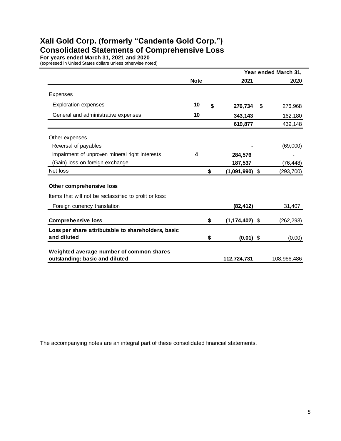# **Xali Gold Corp. (formerly "Candente Gold Corp.") Consolidated Statements of Comprehensive Loss**

**For years ended March 31, 2021 and 2020**

(expressed in United States dollars unless otherwise noted)

|                                                                            |             |                          | Year ended March 31, |
|----------------------------------------------------------------------------|-------------|--------------------------|----------------------|
|                                                                            | <b>Note</b> | 2021                     | 2020                 |
| Expenses                                                                   |             |                          |                      |
| <b>Exploration expenses</b>                                                | 10          | \$<br>276,734            | \$<br>276,968        |
| General and administrative expenses                                        | 10          | 343,143                  | 162,180              |
|                                                                            |             | 619,877                  | 439,148              |
| Other expenses                                                             |             |                          |                      |
| Reversal of payables                                                       |             |                          | (69,000)             |
| Impairment of unproven mineral right interests                             | 4           | 284,576                  |                      |
| (Gain) loss on foreign exchange                                            |             | 187,537                  | (76,448)             |
| Net loss                                                                   |             | \$<br>$(1,091,990)$ \$   | (293, 700)           |
| Other comprehensive loss                                                   |             |                          |                      |
| Items that will not be reclassified to profit or loss:                     |             |                          |                      |
| Foreign currency translation                                               |             | (82,412)                 | 31,407               |
| <b>Comprehensive loss</b>                                                  |             | \$<br>$(1, 174, 402)$ \$ | (262, 293)           |
| Loss per share attributable to shareholders, basic<br>and diluted          |             | \$<br>$(0.01)$ \$        | (0.00)               |
| Weighted average number of common shares<br>outstanding: basic and diluted |             | 112,724,731              | 108,966,486          |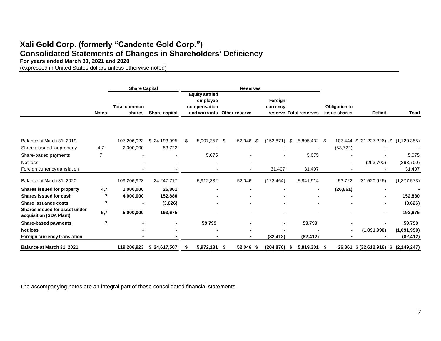# **Xali Gold Corp. (formerly "Candente Gold Corp.") Consolidated Statements of Changes in Shareholders' Deficiency**

**For years ended March 31, 2021 and 2020**

(expressed in United States dollars unless otherwise noted)

|                                                          |                | <b>Share Capital</b>          |                |   |                                                   |      | <b>Reserves</b>            |                     |     |                        |     |                                      |                                       |               |
|----------------------------------------------------------|----------------|-------------------------------|----------------|---|---------------------------------------------------|------|----------------------------|---------------------|-----|------------------------|-----|--------------------------------------|---------------------------------------|---------------|
|                                                          | <b>Notes</b>   | <b>Total common</b><br>shares | Share capital  |   | <b>Equity settled</b><br>employee<br>compensation |      | and warrants Other reserve | Foreign<br>currency |     | reserve Total reserves |     | <b>Obligation to</b><br>issue shares | <b>Deficit</b>                        | <b>Total</b>  |
| Balance at March 31, 2019                                |                | 107,206,923                   | \$24,193,995   | S | 5,907,257 \$                                      |      | 52,046 \$                  | (153, 871)          | -S  | 5,805,432 \$           |     |                                      | 107,444 \$ (31,227,226)               | \$(1,120,355) |
| Shares issued for property                               | 4,7            | 2,000,000                     | 53,722         |   |                                                   |      |                            |                     |     |                        |     | (53, 722)                            |                                       |               |
| Share-based payments                                     | $\overline{7}$ |                               |                |   | 5,075                                             |      |                            | ۰                   |     | 5,075                  |     |                                      |                                       | 5,075         |
| Net loss                                                 |                |                               |                |   |                                                   |      |                            |                     |     |                        |     | ۰                                    | (293, 700)                            | (293, 700)    |
| Foreign currency translation                             |                |                               |                |   |                                                   |      |                            | 31,407              |     | 31,407                 |     |                                      |                                       | 31,407        |
| Balance at March 31, 2020                                |                | 109,206,923                   | 24, 247, 717   |   | 5,912,332                                         |      | 52,046                     | (122, 464)          |     | 5,841,914              |     | 53,722                               | (31,520,926)                          | (1,377,573)   |
| <b>Shares issued for property</b>                        | 4,7            | 1,000,000                     | 26,861         |   |                                                   |      |                            | $\blacksquare$      |     |                        |     | (26, 861)                            | ٠                                     |               |
| Shares issued for cash                                   | 7              | 4,000,000                     | 152,880        |   |                                                   |      |                            |                     |     |                        |     |                                      | ۰                                     | 152,880       |
| Share issuance costs                                     | 7              |                               | (3,626)        |   |                                                   |      |                            |                     |     |                        |     |                                      | ۰                                     | (3,626)       |
| Shares issued for asset under<br>acquisition (SDA Plant) | 5,7            | 5,000,000                     | 193,675        |   |                                                   |      |                            | $\blacksquare$      |     |                        |     | -                                    | ٠                                     | 193,675       |
| <b>Share-based payments</b>                              | 7              |                               | $\blacksquare$ |   | 59,799                                            |      |                            | $\blacksquare$      |     | 59,799                 |     |                                      |                                       | 59,799        |
| <b>Net loss</b>                                          |                |                               |                |   |                                                   |      |                            |                     |     |                        |     |                                      | (1,091,990)                           | (1,091,990)   |
| Foreign currency translation                             |                |                               |                |   |                                                   |      |                            | (82, 412)           |     | (82, 412)              |     |                                      |                                       | (82, 412)     |
| Balance at March 31, 2021                                |                | 119,206,923                   | \$24,617,507   | Ъ | 5,972,131                                         | - \$ | 52,046<br>- 55             | (204, 876)          | - 5 | 5,819,301              | - 5 |                                      | 26,861 \$ (32,612,916) \$ (2,149,247) |               |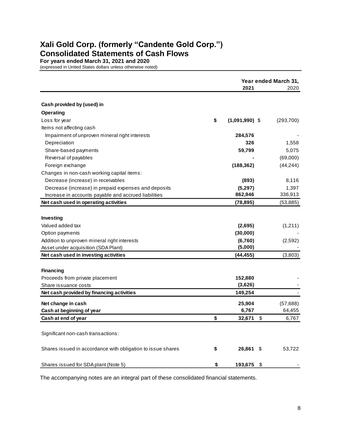# **Xali Gold Corp. (formerly "Candente Gold Corp.") Consolidated Statements of Cash Flows**

**For years ended March 31, 2021 and 2020** (expressed in United States dollars unless otherwise noted)

|                                                             | Year ended March 31,<br>2021 |    |            |  |  |
|-------------------------------------------------------------|------------------------------|----|------------|--|--|
|                                                             |                              |    | 2020       |  |  |
| Cash provided by (used) in                                  |                              |    |            |  |  |
| <b>Operating</b>                                            |                              |    |            |  |  |
| Loss for year                                               | \$<br>$(1,091,990)$ \$       |    | (293, 700) |  |  |
| Items not affecting cash                                    |                              |    |            |  |  |
| Impairment of unproven mineral right interests              | 284,576                      |    |            |  |  |
| Depreciation                                                | 326                          |    | 1,558      |  |  |
| Share-based payments                                        | 59,799                       |    | 5,075      |  |  |
| Reversal of payables                                        |                              |    | (69,000)   |  |  |
| Foreign exchange                                            | (188, 362)                   |    | (44, 244)  |  |  |
| Changes in non-cash working capital items:                  |                              |    |            |  |  |
| Decrease (increase) in receivables                          | (893)                        |    | 8,116      |  |  |
| Decrease (increase) in prepaid expenses and deposits        | (5,297)                      |    | 1,397      |  |  |
| Increase in accounts payable and accrued liabilities        | 862,946                      |    | 336,913    |  |  |
| Net cash used in operating activities                       | (78, 895)                    |    | (53, 885)  |  |  |
|                                                             |                              |    |            |  |  |
| Investing                                                   |                              |    |            |  |  |
| Valued added tax                                            | (2,695)                      |    | (1,211)    |  |  |
| Option payments                                             | (30,000)                     |    |            |  |  |
| Addition to unproven mineral right interests                | (6,760)                      |    | (2,592)    |  |  |
| Asset under acquisition (SDA Plant)                         | (5,000)                      |    |            |  |  |
| Net cash used in investing activities                       | (44, 455)                    |    | (3,803)    |  |  |
|                                                             |                              |    |            |  |  |
| <b>Financing</b>                                            |                              |    |            |  |  |
| Proceeds from private placement                             | 152,880                      |    |            |  |  |
| Share issuance costs                                        | (3,626)                      |    |            |  |  |
| Net cash provided by financing activities                   | 149,254                      |    |            |  |  |
| Net change in cash                                          | 25,904                       |    | (57, 688)  |  |  |
| Cash at beginning of year                                   | 6,767                        |    | 64,455     |  |  |
| Cash at end of year                                         | \$<br>32,671                 | \$ | 6,767      |  |  |
|                                                             |                              |    |            |  |  |
| Significant non-cash transactions:                          |                              |    |            |  |  |
|                                                             |                              |    |            |  |  |
| Shares issued in accordance with obligation to issue shares | \$<br>26,861                 | S  | 53,722     |  |  |
|                                                             |                              |    |            |  |  |
| Shares issued for SDA plant (Note 5)                        | \$<br>193,675 \$             |    |            |  |  |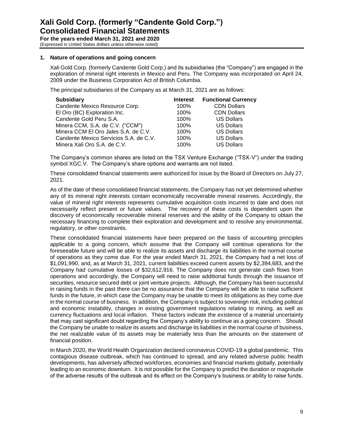# **Xali Gold Corp. (formerly "Candente Gold Corp.") Consolidated Financial Statements**

**For the years ended March 31, 2021 and 2020** (Expressed in United States dollars unless otherwise noted)

# **1. Nature of operations and going concern**

Xali Gold Corp. (formerly Candente Gold Corp.) and its subsidiaries (the "Company") are engaged in the exploration of mineral right interests in Mexico and Peru. The Company was incorporated on April 24, 2009 under the Business Corporation Act of British Columbia.

The principal subsidiaries of the Company as at March 31, 2021 are as follows:

| <b>Subsidiary</b>                      | <b>Interest</b> | <b>Functional Currency</b> |
|----------------------------------------|-----------------|----------------------------|
| Candente Mexico Resource Corp.         | 100%            | <b>CDN Dollars</b>         |
| El Oro (BC) Exploration Inc.           | 100%            | <b>CDN Dollars</b>         |
| Candente Gold Peru S.A.                | 100%            | <b>US Dollars</b>          |
| Minera CCM, S.A. de C.V. ("CCM")       | 100%            | <b>US Dollars</b>          |
| Minera CCM El Oro Jales S.A. de C.V.   | 100%            | <b>US Dollars</b>          |
| Candente Mexico Servicios S.A. de C.V. | 100%            | <b>US Dollars</b>          |
| Minera Xali Oro S.A. de C.V.           | 100%            | <b>US Dollars</b>          |

The Company's common shares are listed on the TSX Venture Exchange ("TSX-V") under the trading symbol XGC.V. The Company's share options and warrants are not listed.

These consolidated financial statements were authorized for issue by the Board of Directors on July 27, 2021.

As of the date of these consolidated financial statements, the Company has not yet determined whether any of its mineral right interests contain economically recoverable mineral reserves. Accordingly, the value of mineral right interests represents cumulative acquisition costs incurred to date and does not necessarily reflect present or future values. The recovery of these costs is dependent upon the discovery of economically recoverable mineral reserves and the ability of the Company to obtain the necessary financing to complete their exploration and development and to resolve any environmental, regulatory, or other constraints.

These consolidated financial statements have been prepared on the basis of accounting principles applicable to a going concern, which assume that the Company will continue operations for the foreseeable future and will be able to realize its assets and discharge its liabilities in the normal course of operations as they come due. For the year ended March 31, 2021, the Company had a net loss of \$1,091,990, and, as at March 31, 2021, current liabilities exceed current assets by \$2,394,683, and the Company had cumulative losses of \$32,612,916. The Company does not generate cash flows from operations and accordingly, the Company will need to raise additional funds through the issuance of securities, resource secured debt or joint venture projects. Although, the Company has been successful in raising funds in the past there can be no assurance that the Company will be able to raise sufficient funds in the future, in which case the Company may be unable to meet its obligations as they come due in the normal course of business. In addition, the Company is subject to sovereign risk, including political and economic instability, changes in existing government regulations relating to mining, as well as currency fluctuations and local inflation. These factors indicate the existence of a material uncertainty that may cast significant doubt regarding the Company's ability to continue as a going concern. Should the Company be unable to realize its assets and discharge its liabilities in the normal course of business, the net realizable value of its assets may be materially less than the amounts on the statement of financial position.

In March 2020, the World Health Organization declared coronavirus COVID-19 a global pandemic. This contagious disease outbreak, which has continued to spread, and any related adverse public health developments, has adversely affected workforces, economies and financial markets globally, potentially leading to an economic downturn. It is not possible for the Company to predict the duration or magnitude of the adverse results of the outbreak and its effect on the Company's business or ability to raise funds.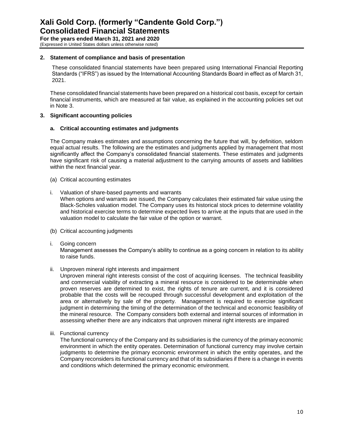# **2. Statement of compliance and basis of presentation**

These consolidated financial statements have been prepared using International Financial Reporting Standards ("IFRS") as issued by the International Accounting Standards Board in effect as of March 31, 2021.

These consolidated financial statements have been prepared on a historical cost basis, except for certain financial instruments, which are measured at fair value, as explained in the accounting policies set out in Note 3.

# **3. Significant accounting policies**

## **a. Critical accounting estimates and judgments**

The Company makes estimates and assumptions concerning the future that will, by definition, seldom equal actual results. The following are the estimates and judgments applied by management that most significantly affect the Company's consolidated financial statements. These estimates and judgments have significant risk of causing a material adjustment to the carrying amounts of assets and liabilities within the next financial year.

- (a) Critical accounting estimates
- i. Valuation of share-based payments and warrants

When options and warrants are issued, the Company calculates their estimated fair value using the Black-Scholes valuation model. The Company uses its historical stock prices to determine volatility and historical exercise terms to determine expected lives to arrive at the inputs that are used in the valuation model to calculate the fair value of the option or warrant.

- (b) Critical accounting judgments
- i. Going concern

Management assesses the Company's ability to continue as a going concern in relation to its ability to raise funds.

ii. Unproven mineral right interests and impairment

Unproven mineral right interests consist of the cost of acquiring licenses. The technical feasibility and commercial viability of extracting a mineral resource is considered to be determinable when proven reserves are determined to exist, the rights of tenure are current, and it is considered probable that the costs will be recouped through successful development and exploitation of the area or alternatively by sale of the property. Management is required to exercise significant judgment in determining the timing of the determination of the technical and economic feasibility of the mineral resource. The Company considers both external and internal sources of information in assessing whether there are any indicators that unproven mineral right interests are impaired

iii. Functional currency

The functional currency of the Company and its subsidiaries is the currency of the primary economic environment in which the entity operates. Determination of functional currency may involve certain judgments to determine the primary economic environment in which the entity operates, and the Company reconsiders its functional currency and that of its subsidiaries if there is a change in events and conditions which determined the primary economic environment.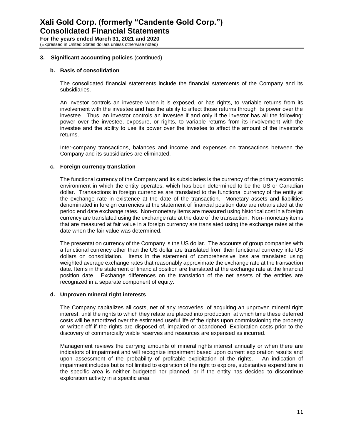# **3. Significant accounting policies** (continued)

# **b. Basis of consolidation**

The consolidated financial statements include the financial statements of the Company and its subsidiaries.

An investor controls an investee when it is exposed, or has rights, to variable returns from its involvement with the investee and has the ability to affect those returns through its power over the investee. Thus, an investor controls an investee if and only if the investor has all the following: power over the investee, exposure, or rights, to variable returns from its involvement with the investee and the ability to use its power over the investee to affect the amount of the investor's returns.

Inter-company transactions, balances and income and expenses on transactions between the Company and its subsidiaries are eliminated.

## **c. Foreign currency translation**

The functional currency of the Company and its subsidiaries is the currency of the primary economic environment in which the entity operates, which has been determined to be the US or Canadian dollar. Transactions in foreign currencies are translated to the functional currency of the entity at the exchange rate in existence at the date of the transaction. Monetary assets and liabilities denominated in foreign currencies at the statement of financial position date are retranslated at the period end date exchange rates. Non-monetary items are measured using historical cost in a foreign currency are translated using the exchange rate at the date of the transaction. Non- monetary items that are measured at fair value in a foreign currency are translated using the exchange rates at the date when the fair value was determined.

The presentation currency of the Company is the US dollar. The accounts of group companies with a functional currency other than the US dollar are translated from their functional currency into US dollars on consolidation. Items in the statement of comprehensive loss are translated using weighted average exchange rates that reasonably approximate the exchange rate at the transaction date. Items in the statement of financial position are translated at the exchange rate at the financial position date. Exchange differences on the translation of the net assets of the entities are recognized in a separate component of equity.

#### **d. Unproven mineral right interests**

The Company capitalizes all costs, net of any recoveries, of acquiring an unproven mineral right interest, until the rights to which they relate are placed into production, at which time these deferred costs will be amortized over the estimated useful life of the rights upon commissioning the property or written-off if the rights are disposed of, impaired or abandoned. Exploration costs prior to the discovery of commercially viable reserves and resources are expensed as incurred.

Management reviews the carrying amounts of mineral rights interest annually or when there are indicators of impairment and will recognize impairment based upon current exploration results and upon assessment of the probability of profitable exploitation of the rights. An indication of impairment includes but is not limited to expiration of the right to explore, substantive expenditure in the specific area is neither budgeted nor planned, or if the entity has decided to discontinue exploration activity in a specific area.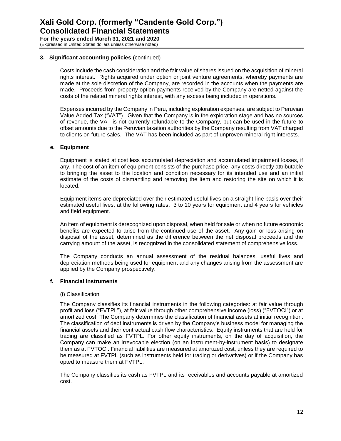# **3. Significant accounting policies** (continued)

Costs include the cash consideration and the fair value of shares issued on the acquisition of mineral rights interest. Rights acquired under option or joint venture agreements, whereby payments are made at the sole discretion of the Company, are recorded in the accounts when the payments are made. Proceeds from property option payments received by the Company are netted against the costs of the related mineral rights interest, with any excess being included in operations.

Expenses incurred by the Company in Peru, including exploration expenses, are subject to Peruvian Value Added Tax ("VAT"). Given that the Company is in the exploration stage and has no sources of revenue, the VAT is not currently refundable to the Company, but can be used in the future to offset amounts due to the Peruvian taxation authorities by the Company resulting from VAT charged to clients on future sales. The VAT has been included as part of unproven mineral right interests.

# **e. Equipment**

Equipment is stated at cost less accumulated depreciation and accumulated impairment losses, if any. The cost of an item of equipment consists of the purchase price, any costs directly attributable to bringing the asset to the location and condition necessary for its intended use and an initial estimate of the costs of dismantling and removing the item and restoring the site on which it is located.

Equipment items are depreciated over their estimated useful lives on a straight-line basis over their estimated useful lives, at the following rates: 3 to 10 years for equipment and 4 years for vehicles and field equipment.

An item of equipment is derecognized upon disposal, when held for sale or when no future economic benefits are expected to arise from the continued use of the asset. Any gain or loss arising on disposal of the asset, determined as the difference between the net disposal proceeds and the carrying amount of the asset, is recognized in the consolidated statement of comprehensive loss.

The Company conducts an annual assessment of the residual balances, useful lives and depreciation methods being used for equipment and any changes arising from the assessment are applied by the Company prospectively.

# **f. Financial instruments**

# (i) Classification

The Company classifies its financial instruments in the following categories: at fair value through profit and loss ("FVTPL"), at fair value through other comprehensive income (loss) ("FVTOCI") or at amortized cost. The Company determines the classification of financial assets at initial recognition. The classification of debt instruments is driven by the Company's business model for managing the financial assets and their contractual cash flow characteristics. Equity instruments that are held for trading are classified as FVTPL. For other equity instruments, on the day of acquisition, the Company can make an irrevocable election (on an instrument-by-instrument basis) to designate them as at FVTOCI. Financial liabilities are measured at amortized cost, unless they are required to be measured at FVTPL (such as instruments held for trading or derivatives) or if the Company has opted to measure them at FVTPL.

The Company classifies its cash as FVTPL and its receivables and accounts payable at amortized cost.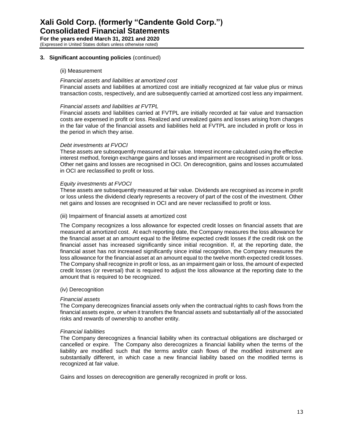# **3. Significant accounting policies** (continued)

# (ii) Measurement

## *Financial assets and liabilities at amortized cost*

Financial assets and liabilities at amortized cost are initially recognized at fair value plus or minus transaction costs, respectively, and are subsequently carried at amortized cost less any impairment.

#### *Financial assets and liabilities at FVTPL*

Financial assets and liabilities carried at FVTPL are initially recorded at fair value and transaction costs are expensed in profit or loss. Realized and unrealized gains and losses arising from changes in the fair value of the financial assets and liabilities held at FVTPL are included in profit or loss in the period in which they arise.

## *Debt investments at FVOCI*

These assets are subsequently measured at fair value. Interest income calculated using the effective interest method, foreign exchange gains and losses and impairment are recognised in profit or loss. Other net gains and losses are recognised in OCI. On derecognition, gains and losses accumulated in OCI are reclassified to profit or loss.

## *Equity investments at FVOCI*

These assets are subsequently measured at fair value. Dividends are recognised as income in profit or loss unless the dividend clearly represents a recovery of part of the cost of the investment. Other net gains and losses are recognised in OCI and are never reclassified to profit or loss.

## (iii) Impairment of financial assets at amortized cost

The Company recognizes a loss allowance for expected credit losses on financial assets that are measured at amortized cost. At each reporting date, the Company measures the loss allowance for the financial asset at an amount equal to the lifetime expected credit losses if the credit risk on the financial asset has increased significantly since initial recognition. If, at the reporting date, the financial asset has not increased significantly since initial recognition, the Company measures the loss allowance for the financial asset at an amount equal to the twelve month expected credit losses. The Company shall recognize in profit or loss, as an impairment gain or loss, the amount of expected credit losses (or reversal) that is required to adjust the loss allowance at the reporting date to the amount that is required to be recognized.

#### (iv) Derecognition

#### *Financial assets*

The Company derecognizes financial assets only when the contractual rights to cash flows from the financial assets expire, or when it transfers the financial assets and substantially all of the associated risks and rewards of ownership to another entity.

#### *Financial liabilities*

The Company derecognizes a financial liability when its contractual obligations are discharged or cancelled or expire. The Company also derecognizes a financial liability when the terms of the liability are modified such that the terms and/or cash flows of the modified instrument are substantially different, in which case a new financial liability based on the modified terms is recognized at fair value.

Gains and losses on derecognition are generally recognized in profit or loss.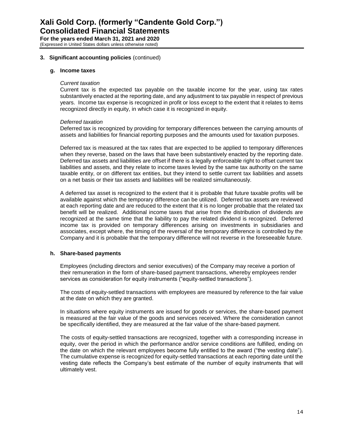## **3. Significant accounting policies** (continued)

#### **g. Income taxes**

#### *Current taxation*

Current tax is the expected tax payable on the taxable income for the year, using tax rates substantively enacted at the reporting date, and any adjustment to tax payable in respect of previous years. Income tax expense is recognized in profit or loss except to the extent that it relates to items recognized directly in equity, in which case it is recognized in equity.

## *Deferred taxation*

Deferred tax is recognized by providing for temporary differences between the carrying amounts of assets and liabilities for financial reporting purposes and the amounts used for taxation purposes.

Deferred tax is measured at the tax rates that are expected to be applied to temporary differences when they reverse, based on the laws that have been substantively enacted by the reporting date. Deferred tax assets and liabilities are offset if there is a legally enforceable right to offset current tax liabilities and assets, and they relate to income taxes levied by the same tax authority on the same taxable entity, or on different tax entities, but they intend to settle current tax liabilities and assets on a net basis or their tax assets and liabilities will be realized simultaneously.

A deferred tax asset is recognized to the extent that it is probable that future taxable profits will be available against which the temporary difference can be utilized. Deferred tax assets are reviewed at each reporting date and are reduced to the extent that it is no longer probable that the related tax benefit will be realized. Additional income taxes that arise from the distribution of dividends are recognized at the same time that the liability to pay the related dividend is recognized. Deferred income tax is provided on temporary differences arising on investments in subsidiaries and associates, except where, the timing of the reversal of the temporary difference is controlled by the Company and it is probable that the temporary difference will not reverse in the foreseeable future.

# **h. Share-based payments**

Employees (including directors and senior executives) of the Company may receive a portion of their remuneration in the form of share-based payment transactions, whereby employees render services as consideration for equity instruments ("equity-settled transactions").

The costs of equity-settled transactions with employees are measured by reference to the fair value at the date on which they are granted.

In situations where equity instruments are issued for goods or services, the share-based payment is measured at the fair value of the goods and services received. Where the consideration cannot be specifically identified, they are measured at the fair value of the share-based payment.

The costs of equity-settled transactions are recognized, together with a corresponding increase in equity, over the period in which the performance and/or service conditions are fulfilled, ending on the date on which the relevant employees become fully entitled to the award ("the vesting date"). The cumulative expense is recognized for equity-settled transactions at each reporting date until the vesting date reflects the Company's best estimate of the number of equity instruments that will ultimately vest.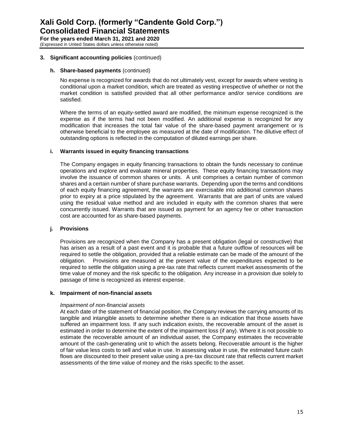# **3. Significant accounting policies** (continued)

# **h. Share-based payments** (continued)

No expense is recognized for awards that do not ultimately vest, except for awards where vesting is conditional upon a market condition, which are treated as vesting irrespective of whether or not the market condition is satisfied provided that all other performance and/or service conditions are satisfied.

Where the terms of an equity-settled award are modified, the minimum expense recognized is the expense as if the terms had not been modified. An additional expense is recognized for any modification that increases the total fair value of the share-based payment arrangement or is otherwise beneficial to the employee as measured at the date of modification. The dilutive effect of outstanding options is reflected in the computation of diluted earnings per share.

# **i. Warrants issued in equity financing transactions**

The Company engages in equity financing transactions to obtain the funds necessary to continue operations and explore and evaluate mineral properties. These equity financing transactions may involve the issuance of common shares or units. A unit comprises a certain number of common shares and a certain number of share purchase warrants. Depending upon the terms and conditions of each equity financing agreement, the warrants are exercisable into additional common shares prior to expiry at a price stipulated by the agreement. Warrants that are part of units are valued using the residual value method and are included in equity with the common shares that were concurrently issued. Warrants that are issued as payment for an agency fee or other transaction cost are accounted for as share-based payments.

# **j. Provisions**

Provisions are recognized when the Company has a present obligation (legal or constructive) that has arisen as a result of a past event and it is probable that a future outflow of resources will be required to settle the obligation, provided that a reliable estimate can be made of the amount of the obligation. Provisions are measured at the present value of the expenditures expected to be required to settle the obligation using a pre-tax rate that reflects current market assessments of the time value of money and the risk specific to the obligation. Any increase in a provision due solely to passage of time is recognized as interest expense.

# **k. Impairment of non-financial assets**

# *Impairment of non-financial assets*

At each date of the statement of financial position, the Company reviews the carrying amounts of its tangible and intangible assets to determine whether there is an indication that those assets have suffered an impairment loss. If any such indication exists, the recoverable amount of the asset is estimated in order to determine the extent of the impairment loss (if any). Where it is not possible to estimate the recoverable amount of an individual asset, the Company estimates the recoverable amount of the cash-generating unit to which the assets belong. Recoverable amount is the higher of fair value less costs to sell and value in use. In assessing value in use, the estimated future cash flows are discounted to their present value using a pre-tax discount rate that reflects current market assessments of the time value of money and the risks specific to the asset.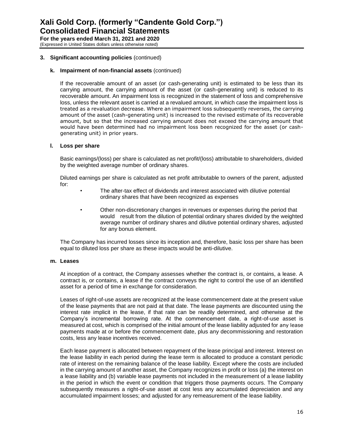# **3. Significant accounting policies** (continued)

# **k. Impairment of non-financial assets** (continued)

If the recoverable amount of an asset (or cash-generating unit) is estimated to be less than its carrying amount, the carrying amount of the asset (or cash-generating unit) is reduced to its recoverable amount. An impairment loss is recognized in the statement of loss and comprehensive loss, unless the relevant asset is carried at a revalued amount, in which case the impairment loss is treated as a revaluation decrease. Where an impairment loss subsequently reverses, the carrying amount of the asset (cash-generating unit) is increased to the revised estimate of its recoverable amount, but so that the increased carrying amount does not exceed the carrying amount that would have been determined had no impairment loss been recognized for the asset (or cashgenerating unit) in prior years.

# **l. Loss per share**

Basic earnings/(loss) per share is calculated as net profit/(loss) attributable to shareholders, divided by the weighted average number of ordinary shares.

Diluted earnings per share is calculated as net profit attributable to owners of the parent, adjusted for:

- The after-tax effect of dividends and interest associated with dilutive potential ordinary shares that have been recognized as expenses
- Other non-discretionary changes in revenues or expenses during the period that would result from the dilution of potential ordinary shares divided by the weighted average number of ordinary shares and dilutive potential ordinary shares, adjusted for any bonus element.

The Company has incurred losses since its inception and, therefore, basic loss per share has been equal to diluted loss per share as these impacts would be anti-dilutive.

# **m. Leases**

At inception of a contract, the Company assesses whether the contract is, or contains, a lease. A contract is, or contains, a lease if the contract conveys the right to control the use of an identified asset for a period of time in exchange for consideration.

Leases of right-of-use assets are recognized at the lease commencement date at the present value of the lease payments that are not paid at that date. The lease payments are discounted using the interest rate implicit in the lease, if that rate can be readily determined, and otherwise at the Company's incremental borrowing rate. At the commencement date, a right-of-use asset is measured at cost, which is comprised of the initial amount of the lease liability adjusted for any lease payments made at or before the commencement date, plus any decommissioning and restoration costs, less any lease incentives received.

Each lease payment is allocated between repayment of the lease principal and interest. Interest on the lease liability in each period during the lease term is allocated to produce a constant periodic rate of interest on the remaining balance of the lease liability. Except where the costs are included in the carrying amount of another asset, the Company recognizes in profit or loss (a) the interest on a lease liability and (b) variable lease payments not included in the measurement of a lease liability in the period in which the event or condition that triggers those payments occurs. The Company subsequently measures a right-of-use asset at cost less any accumulated depreciation and any accumulated impairment losses; and adjusted for any remeasurement of the lease liability.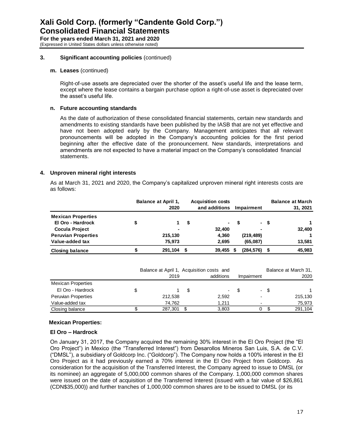# **3. Significant accounting policies** (continued)

# **m. Leases** (continued)

Right-of-use assets are depreciated over the shorter of the asset's useful life and the lease term, except where the lease contains a bargain purchase option a right-of-use asset is depreciated over the asset's useful life.

# **n. Future accounting standards**

As the date of authorization of these consolidated financial statements, certain new standards and amendments to existing standards have been published by the IASB that are not yet effective and have not been adopted early by the Company. Management anticipates that all relevant pronouncements will be adopted in the Company's accounting policies for the first period beginning after the effective date of the pronouncement. New standards, interpretations and amendments are not expected to have a material impact on the Company's consolidated financial statements.

# **4. Unproven mineral right interests**

 As at March 31, 2021 and 2020, the Company's capitalized unproven mineral right interests costs are as follows:

|                            |   | <b>Balance at April 1.</b><br>2020 | <b>Acquisition costs</b><br>and additions |      | Impairment |      | <b>Balance at March</b><br>31, 2021 |
|----------------------------|---|------------------------------------|-------------------------------------------|------|------------|------|-------------------------------------|
| <b>Mexican Properties</b>  |   |                                    |                                           |      |            |      |                                     |
| El Oro - Hardrock          |   |                                    | \$<br>$\sim$                              | - \$ |            | - \$ |                                     |
| <b>Cocula Project</b>      |   | $\blacksquare$                     | 32,400                                    |      | ۰.         |      | 32,400                              |
| <b>Peruvian Properties</b> |   | 215.130                            | 4,360                                     |      | (219, 489) |      |                                     |
| Value-added tax            |   | 75,973                             | 2,695                                     |      | (65,087)   |      | 13,581                              |
| <b>Closing balance</b>     | æ | 291,104                            | 39,455                                    |      | (284, 576) |      | 45,983                              |

|                           |   | Balance at April 1, Acquisition costs and |     |            |    |            |     | Balance at March 31, |
|---------------------------|---|-------------------------------------------|-----|------------|----|------------|-----|----------------------|
|                           |   | 2019                                      |     | additions  |    | Impairment |     | 2020                 |
| <b>Mexican Properties</b> |   |                                           |     |            |    |            |     |                      |
| El Oro - Hardrock         | S |                                           | \$. | $\sim 100$ | -S | $\sim$     | \$. |                      |
| Peruvian Properties       |   | 212,538                                   |     | 2,592      |    |            |     | 215,130              |
| Value-added tax           |   | 74.762                                    |     | 1.211      |    |            |     | 75,973               |
| Closing balance           |   | 287,301                                   |     | 3,803      |    | 0          |     | 291,104              |

# **Mexican Properties:**

# **El Oro – Hardrock**

On January 31, 2017, the Company acquired the remaining 30% interest in the El Oro Project (the "El Oro Project") in Mexico (the "Transferred Interest") from Desarollos Mineros San Luis, S.A. de C.V. ("DMSL"), a subsidiary of Goldcorp Inc. ("Goldcorp"). The Company now holds a 100% interest in the El Oro Project as it had previously earned a 70% interest in the El Oro Project from Goldcorp. As consideration for the acquisition of the Transferred Interest, the Company agreed to issue to DMSL (or its nominee) an aggregate of 5,000,000 common shares of the Company. 1,000,000 common shares were issued on the date of acquisition of the Transferred Interest (issued with a fair value of \$26,861 (CDN\$35,000)) and further tranches of 1,000,000 common shares are to be issued to DMSL (or its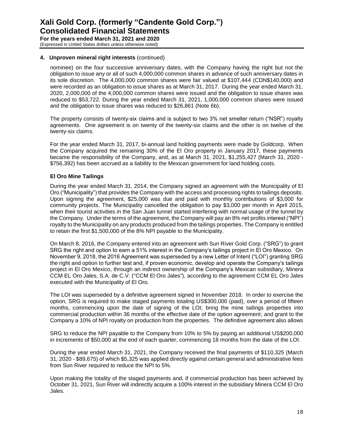# **4. Unproven mineral right interests** (continued)

nominee) on the four successive anniversary dates, with the Company having the right but not the obligation to issue any or all of such 4,000,000 common shares in advance of such anniversary dates in its sole discretion. The 4,000,000 common shares were fair valued at \$107,444 (CDN\$140,000) and were recorded as an obligation to issue shares as at March 31, 2017. During the year ended March 31, 2020, 2,000,000 of the 4,000,000 common shares were issued and the obligation to issue shares was reduced to \$53,722. During the year ended March 31, 2021, 1,000,000 common shares were issued and the obligation to issue shares was reduced to \$26,861 (Note 6b).

The property consists of twenty-six claims and is subject to two 3% net smelter return ("NSR") royalty agreements. One agreement is on twenty of the twenty-six claims and the other is on twelve of the twenty-six claims.

For the year ended March 31, 2017, bi-annual land holding payments were made by Goldcorp. When the Company acquired the remaining 30% of the El Oro property in January 2017, these payments became the responsibility of the Company, and, as at March 31, 2021, \$1,255,427 (March 31, 2020 - \$756,392) has been accrued as a liability to the Mexican government for land holding costs.

# **El Oro Mine Tailings**

During the year ended March 31, 2014, the Company signed an agreement with the Municipality of El Oro ("Municipality") that provides the Company with the access and processing rights to tailings deposits. Upon signing the agreement, \$25,000 was due and paid with monthly contributions of \$3,000 for community projects. The Municipality cancelled the obligation to pay \$3,000 per month in April 2015, when their tourist activities in the San Juan tunnel started interfering with normal usage of the tunnel by the Company. Under the terms of the agreement, the Company will pay an 8% net profits interest ("NPI") royalty to the Municipality on any products produced from the tailings properties. The Company is entitled to retain the first \$1,500,000 of the 8% NPI payable to the Municipality.

On March 8, 2016, the Company entered into an agreement with Sun River Gold Corp. ("SRG") to grant SRG the right and option to earn a 51% interest in the Company's tailings project in El Oro Mexico. On November 9, 2018, the 2016 Agreement was superseded by a new Letter of Intent ("LOI") granting SRG the right and option to further test and, if proven economic, develop and operate the Company's tailings project in El Oro Mexico, through an indirect ownership of the Company's Mexican subsidiary, Minera CCM EL Oro Jales, S.A. de C.V. ("CCM El Oro Jales"), according to the agreement CCM EL Oro Jales executed with the Municipality of El Oro.

The LOI was superseded by a definitive agreement signed in November 2018. In order to exercise the option, SRG is required to make staged payments totaling US\$300,000 (paid), over a period of fifteen months, commencing upon the date of signing of the LOI; bring the mine tailings properties into commercial production within 36 months of the effective date of the option agreement; and grant to the Company a 10% of NPI royalty on production from the properties. The definitive agreement also allows

SRG to reduce the NPI payable to the Company from 10% to 5% by paying an additional US\$200,000 in increments of \$50,000 at the end of each quarter, commencing 18 months from the date of the LOI.

During the year ended March 31, 2021, the Company received the final payments of \$110,325 (March 31, 2020 - \$89,675) of which \$5,325 was applied directly against certain general and administrative fees from Sun River required to reduce the NPI to 5%.

Upon making the totality of the staged payments and, if commercial production has been achieved by October 31, 2021, Sun River will indirectly acquire a 100% interest in the subsidiary Minera CCM El Oro Jales.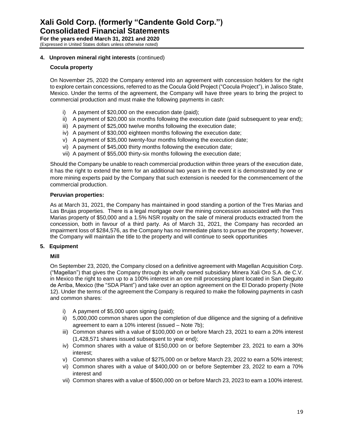# **4. Unproven mineral right interests** (continued)

# **Cocula property**

On November 25, 2020 the Company entered into an agreement with concession holders for the right to explore certain concessions, referred to as the Cocula Gold Project ("Cocula Project"), in Jalisco State, Mexico. Under the terms of the agreement, the Company will have three years to bring the project to commercial production and must make the following payments in cash:

- i) A payment of \$20,000 on the execution date (paid);
- ii) A payment of \$20,000 six months following the execution date (paid subsequent to year end);
- iii) A payment of \$25,000 twelve months following the execution date;
- iv) A payment of \$30,000 eighteen months following the execution date;
- v) A payment of \$35,000 twenty-four months following the execution date;
- vi) A payment of \$45,000 thirty months following the execution date;
- vii) A payment of \$55,000 thirty-six months following the execution date;

Should the Company be unable to reach commercial production within three years of the execution date, it has the right to extend the term for an additional two years in the event it is demonstrated by one or more mining experts paid by the Company that such extension is needed for the commencement of the commercial production.

# **Peruvian properties:**

As at March 31, 2021, the Company has maintained in good standing a portion of the Tres Marias and Las Brujas properties. There is a legal mortgage over the mining concession associated with the Tres Marias property of \$50,000 and a 1.5% NSR royalty on the sale of mineral products extracted from the concession, both in favour of a third party. As of March 31, 2021, the Company has recorded an impairment loss of \$284,576, as the Company has no immediate plans to pursue the property; however, the Company will maintain the title to the property and will continue to seek opportunities

# **5. Equipment**

# **Mill**

On September 23, 2020, the Company closed on a definitive agreement with Magellan Acquisition Corp. ("Magellan") that gives the Company through its wholly owned subsidiary Minera Xali Oro S.A. de C.V. in Mexico the right to earn up to a 100% interest in an ore mill processing plant located in San Dieguito de Arriba, Mexico (the "SDA Plant") and take over an option agreement on the El Dorado property (Note 12). Under the terms of the agreement the Company is required to make the following payments in cash and common shares:

- i) A payment of \$5,000 upon signing (paid);
- ii) 5,000,000 common shares upon the completion of due diligence and the signing of a definitive agreement to earn a 10% interest (issued – Note 7b);
- iii) Common shares with a value of \$100,000 on or before March 23, 2021 to earn a 20% interest (1,428,571 shares issued subsequent to year end);
- iv) Common shares with a value of \$150,000 on or before September 23, 2021 to earn a 30% interest;
- v) Common shares with a value of \$275,000 on or before March 23, 2022 to earn a 50% interest;
- vi) Common shares with a value of \$400,000 on or before September 23, 2022 to earn a 70% interest and
- vii) Common shares with a value of \$500,000 on or before March 23, 2023 to earn a 100% interest.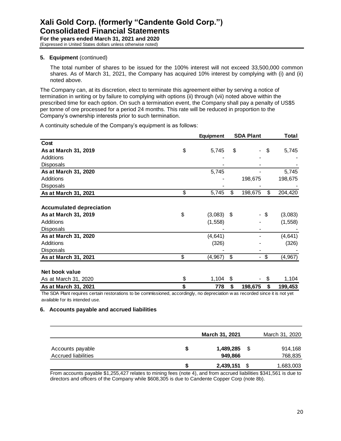# **5. Equipment** (continued)

The total number of shares to be issued for the 100% interest will not exceed 33,500,000 common shares. As of March 31, 2021, the Company has acquired 10% interest by complying with (i) and (ii) noted above.

The Company can, at its discretion, elect to terminate this agreement either by serving a notice of termination in writing or by failure to complying with options (ii) through (vii) noted above within the prescribed time for each option. On such a termination event, the Company shall pay a penalty of US\$5 per tonne of ore processed for a period 24 months. This rate will be reduced in proportion to the Company's ownership interests prior to such termination.

A continuity schedule of the Company's equipment is as follows:

|                                                                                                                               | Equipment      | <b>SDA Plant</b>     | Total          |
|-------------------------------------------------------------------------------------------------------------------------------|----------------|----------------------|----------------|
| Cost                                                                                                                          |                |                      |                |
| As at March 31, 2019                                                                                                          | \$<br>5,745    | \$<br>-              | \$<br>5,745    |
| Additions                                                                                                                     |                |                      |                |
| <b>Disposals</b>                                                                                                              |                |                      |                |
| As at March 31, 2020                                                                                                          | 5,745          |                      | 5,745          |
| <b>Additions</b>                                                                                                              |                | 198,675              | 198,675        |
| <b>Disposals</b>                                                                                                              |                |                      |                |
| As at March 31, 2021                                                                                                          | \$<br>5,745    | \$<br>198,675        | \$<br>204,420  |
|                                                                                                                               |                |                      |                |
| <b>Accumulated depreciation</b>                                                                                               |                |                      |                |
| As at March 31, 2019                                                                                                          | \$<br>(3,083)  | \$<br>-\$            | (3,083)        |
| Additions                                                                                                                     | (1, 558)       |                      | (1, 558)       |
| Disposals                                                                                                                     |                |                      |                |
| As at March 31, 2020                                                                                                          | (4, 641)       |                      | (4,641)        |
| Additions                                                                                                                     | (326)          |                      | (326)          |
| <b>Disposals</b>                                                                                                              |                |                      |                |
| As at March 31, 2021                                                                                                          | \$<br>(4, 967) | \$<br>$\blacksquare$ | \$<br>(4, 967) |
|                                                                                                                               |                |                      |                |
| Net book value                                                                                                                |                |                      |                |
| As at March 31, 2020                                                                                                          | \$<br>1,104    | \$                   | \$<br>1,104    |
| As at March 31, 2021                                                                                                          | \$<br>778      | \$<br>198,675        | \$<br>199,453  |
| The SDA Plant requires certain restorations to be commissioned, accordingly, no depreciation was recorded since it is not yet |                |                      |                |

iDA Mant requires certain restorations to be commissioned, accordingly, no depreciation w as recorded since it is not yet available for its intended use.

# **6. Accounts payable and accrued liabilities**

|                                                |   | March 31, 2021       |    | March 31, 2020     |
|------------------------------------------------|---|----------------------|----|--------------------|
| Accounts payable<br><b>Accrued liabilities</b> | S | 1,489,285<br>949.866 | -S | 914,168<br>768,835 |
|                                                | S | 2,439,151            |    | 1,683,003          |

From accounts payable \$1,255,427 relates to mining fees (note 4), and from accrued liabilities \$341,561 is due to directors and officers of the Company while \$608,305 is due to Candente Copper Corp (note 8b).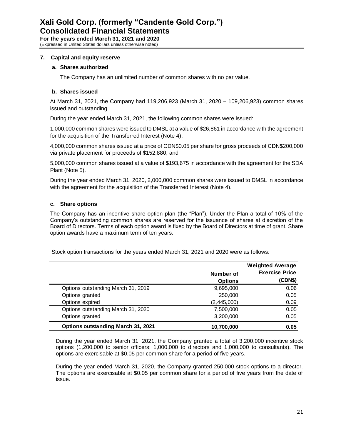# **7. Capital and equity reserve**

# **a. Shares authorized**

The Company has an unlimited number of common shares with no par value.

# **b. Shares issued**

At March 31, 2021, the Company had 119,206,923 (March 31, 2020 – 109,206,923) common shares issued and outstanding.

During the year ended March 31, 2021, the following common shares were issued:

1,000,000 common shares were issued to DMSL at a value of \$26,861 in accordance with the agreement for the acquisition of the Transferred Interest (Note 4);

4,000,000 common shares issued at a price of CDN\$0.05 per share for gross proceeds of CDN\$200,000 via private placement for proceeds of \$152,880; and

5,000,000 common shares issued at a value of \$193,675 in accordance with the agreement for the SDA Plant (Note 5).

During the year ended March 31, 2020, 2,000,000 common shares were issued to DMSL in accordance with the agreement for the acquisition of the Transferred Interest (Note 4).

# **c. Share options**

The Company has an incentive share option plan (the "Plan"). Under the Plan a total of 10% of the Company's outstanding common shares are reserved for the issuance of shares at discretion of the Board of Directors. Terms of each option award is fixed by the Board of Directors at time of grant. Share option awards have a maximum term of ten years.

Stock option transactions for the years ended March 31, 2021 and 2020 were as follows:

|                                           |                | <b>Weighted Average</b> |
|-------------------------------------------|----------------|-------------------------|
|                                           | Number of      | <b>Exercise Price</b>   |
|                                           | <b>Options</b> | (CDN\$)                 |
| Options outstanding March 31, 2019        | 9,695,000      | 0.06                    |
| Options granted                           | 250,000        | 0.05                    |
| Options expired                           | (2, 445, 000)  | 0.09                    |
| Options outstanding March 31, 2020        | 7,500,000      | 0.05                    |
| Options granted                           | 3,200,000      | 0.05                    |
| <b>Options outstanding March 31, 2021</b> | 10,700,000     | 0.05                    |

During the year ended March 31, 2021, the Company granted a total of 3,200,000 incentive stock options (1,200,000 to senior officers; 1,000,000 to directors and 1,000,000 to consultants). The options are exercisable at \$0.05 per common share for a period of five years.

During the year ended March 31, 2020, the Company granted 250,000 stock options to a director. The options are exercisable at \$0.05 per common share for a period of five years from the date of issue.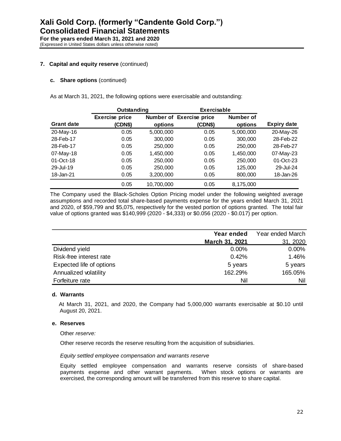(Expressed in United States dollars unless otherwise noted)

# **7. Capital and equity reserve** (continued)

## **c. Share options** (continued)

As at March 31, 2021, the following options were exercisable and outstanding:

|                   | Outstanding           |            | <b>Exercisable</b>       |           |                    |
|-------------------|-----------------------|------------|--------------------------|-----------|--------------------|
|                   | <b>Exercise price</b> |            | Number of Exercise price | Number of |                    |
| <b>Grant date</b> | (CDN\$)               | options    | (CDN\$)                  | options   | <b>Expiry date</b> |
| 20-May-16         | 0.05                  | 5,000,000  | 0.05                     | 5,000,000 | 20-May-26          |
| 28-Feb-17         | 0.05                  | 300,000    | 0.05                     | 300,000   | 28-Feb-22          |
| 28-Feb-17         | 0.05                  | 250,000    | 0.05                     | 250,000   | 28-Feb-27          |
| 07-May-18         | 0.05                  | 1,450,000  | 0.05                     | 1,450,000 | 07-May-23          |
| 01-Oct-18         | 0.05                  | 250,000    | 0.05                     | 250,000   | 01-Oct-23          |
| 29-Jul-19         | 0.05                  | 250,000    | 0.05                     | 125,000   | 29-Jul-24          |
| 18-Jan-21         | 0.05                  | 3,200,000  | 0.05                     | 800,000   | 18-Jan-26          |
|                   | 0.05                  | 10,700,000 | 0.05                     | 8,175,000 |                    |

The Company used the Black-Scholes Option Pricing model under the following weighted average assumptions and recorded total share-based payments expense for the years ended March 31, 2021 and 2020, of \$59,799 and \$5,075, respectively for the vested portion of options granted. The total fair value of options granted was \$140,999 (2020 - \$4,333) or \$0.056 (2020 - \$0.017) per option.

|                          | Year ended     | Year ended March |
|--------------------------|----------------|------------------|
|                          | March 31, 2021 | 31, 2020         |
| Dividend yield           | $0.00\%$       | 0.00%            |
| Risk-free interest rate  | 0.42%          | 1.46%            |
| Expected life of options | 5 years        | 5 years          |
| Annualized volatility    | 162.29%        | 165.05%          |
| Forfeiture rate          | Nil            | Nil              |

#### **d. Warrants**

At March 31, 2021, and 2020, the Company had 5,000,000 warrants exercisable at \$0.10 until August 20, 2021.

#### **e. Reserves**

Other *reserve:*

Other reserve records the reserve resulting from the acquisition of subsidiaries.

#### *Equity settled employee compensation and warrants reserve*

Equity settled employee compensation and warrants reserve consists of share-based payments expense and other warrant payments. When stock options or warrants are exercised, the corresponding amount will be transferred from this reserve to share capital.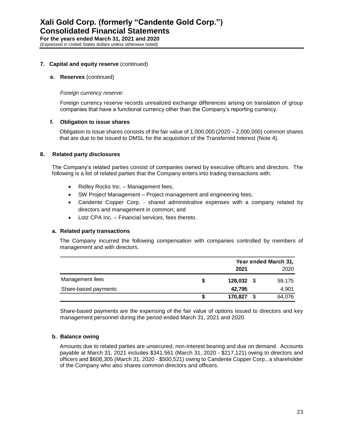# **7. Capital and equity reserve** (continued)

## **e. Reserves** (continued)

## *Foreign currency reserve:*

Foreign currency reserve records unrealized exchange differences arising on translation of group companies that have a functional currency other than the Company's reporting currency.

# **f. Obligation to issue shares**

Obligation to issue shares consists of the fair value of 1,000,000 (2020 – 2,000,000) common shares that are due to be issued to DMSL for the acquisition of the Transferred Interest (Note 4).

## **8. Related party disclosures**

The Company's related parties consist of companies owned by executive officers and directors. The following is a list of related parties that the Company enters into trading transactions with:

- Ridley Rocks Inc. Management fees;
- SW Project Management Project management and engineering fees;
- Candente Copper Corp. shared administrative expenses with a company related by directors and management in common; and
- Lotz CPA Inc. Financial services, fees thereto.

# **a. Related party transactions**

The Company incurred the following compensation with companies controlled by members of management and with directors.

|                      |              | Year ended March 31, |        |  |
|----------------------|--------------|----------------------|--------|--|
|                      | 2021         |                      | 2020   |  |
| Management fees      | $128,032$ \$ |                      | 59,175 |  |
| Share-based payments | 42.795       |                      | 4,901  |  |
|                      | 170,827      | S                    | 64,076 |  |

Share-based payments are the expensing of the fair value of options issued to directors and key management personnel during the period ended March 31, 2021 and 2020.

# **b. Balance owing**

Amounts due to related parties are unsecured, non-interest bearing and due on demand. Accounts payable at March 31, 2021 includes \$341,561 (March 31, 2020 - \$217,121) owing to directors and officers and \$608,305 (March 31, 2020 - \$500,521) owing to Candente Copper Corp., a shareholder of the Company who also shares common directors and officers.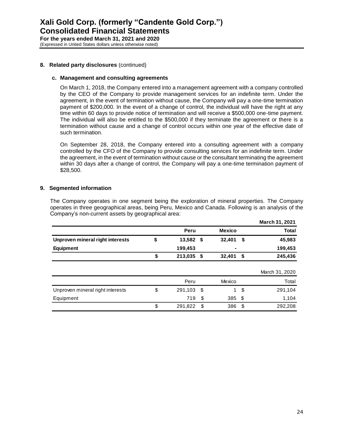(Expressed in United States dollars unless otherwise noted)

# **8. Related party disclosures** (continued)

## **c. Management and consulting agreements**

On March 1, 2018, the Company entered into a management agreement with a company controlled by the CEO of the Company to provide management services for an indefinite term. Under the agreement, in the event of termination without cause, the Company will pay a one-time termination payment of \$200,000. In the event of a change of control, the individual will have the right at any time within 60 days to provide notice of termination and will receive a \$500,000 one-time payment. The individual will also be entitled to the \$500,000 if they terminate the agreement or there is a termination without cause and a change of control occurs within one year of the effective date of such termination.

On September 28, 2018, the Company entered into a consulting agreement with a company controlled by the CFO of the Company to provide consulting services for an indefinite term. Under the agreement, in the event of termination without cause or the consultant terminating the agreement within 30 days after a change of control, the Company will pay a one-time termination payment of \$28,500.

# **9. Segmented information**

The Company operates in one segment being the exploration of mineral properties. The Company operates in three geographical areas, being Peru, Mexico and Canada. Following is an analysis of the Company's non-current assets by geographical area:

|                                  |               |      |               |      | March 31, 2021 |
|----------------------------------|---------------|------|---------------|------|----------------|
|                                  | Peru          |      | <b>Mexico</b> |      | <b>Total</b>   |
| Unproven mineral right interests | \$<br>13,582  | - \$ | 32,401        | \$   | 45,983         |
| <b>Equipment</b>                 | 199,453       |      |               |      | 199,453        |
|                                  | \$<br>213,035 | \$   | 32,401        | \$   | 245,436        |
|                                  |               |      |               |      | March 31, 2020 |
|                                  | Peru          |      | Mexico        |      | Total          |
| Unproven mineral right interests | \$<br>291,103 | - \$ | 1             | \$   | 291,104        |
| Equipment                        | 719           | \$   | 385           | - \$ | 1,104          |
|                                  | \$<br>291,822 | \$   | 386           | \$   | 292,208        |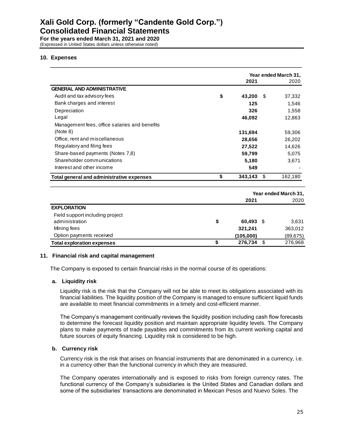# **Xali Gold Corp. (formerly "Candente Gold Corp.") Consolidated Financial Statements**

**For the years ended March 31, 2021 and 2020** (Expressed in United States dollars unless otherwise noted)

# **10. Expenses**

|                                               | Year ended March 31, |    |                      |
|-----------------------------------------------|----------------------|----|----------------------|
|                                               | 2021                 |    | 2020                 |
| <b>GENERAL AND ADMINISTRATIVE</b>             |                      |    |                      |
| Audit and tax advisory fees                   | \$<br>43,200         | \$ | 37,332               |
| Bank charges and interest                     | 125                  |    | 1,546                |
| Depreciation                                  | 326                  |    | 1,558                |
| Legal                                         | 46,092               |    | 12,863               |
| Management fees, office salaries and benefits |                      |    |                      |
| (Note 8)                                      | 131,694              |    | 59,306               |
| Office, rent and miscellaneous                | 28,656               |    | 26,202               |
| Regulatory and filing fees                    | 27,522               |    | 14,626               |
| Share-based payments (Notes 7,8)              | 59,799               |    | 5,075                |
| Shareholder communications                    | 5,180                |    | 3,671                |
| Interest and other income                     | 549                  |    |                      |
| Total general and administrative expenses     | \$<br>343,143        | \$ | 162,180              |
|                                               |                      |    | Year ended March 31, |
|                                               | 2021                 |    | 2020                 |
| <b>EXPLORATION</b>                            |                      |    |                      |
| Field support including project               |                      |    |                      |
| administration                                | \$<br>60.493         | \$ | 3,631                |
| Mining fees                                   | 321,241              |    | 363,012              |
| Option payments received                      | (105,000)            |    | (89, 675)            |
| <b>Total exploration expenses</b>             | \$<br>276,734        | \$ | 276,968              |

# **11. Financial risk and capital management**

The Company is exposed to certain financial risks in the normal course of its operations:

# **a. Liquidity risk**

Liquidity risk is the risk that the Company will not be able to meet its obligations associated with its financial liabilities. The liquidity position of the Company is managed to ensure sufficient liquid funds are available to meet financial commitments in a timely and cost-efficient manner.

The Company's management continually reviews the liquidity position including cash flow forecasts to determine the forecast liquidity position and maintain appropriate liquidity levels. The Company plans to make payments of trade payables and commitments from its current working capital and future sources of equity financing. Liquidity risk is considered to be high.

# **b. Currency risk**

Currency risk is the risk that arises on financial instruments that are denominated in a currency, i.e. in a currency other than the functional currency in which they are measured.

The Company operates internationally and is exposed to risks from foreign currency rates. The functional currency of the Company's subsidiaries is the United States and Canadian dollars and some of the subsidiaries' transactions are denominated in Mexican Pesos and Nuevo Soles. The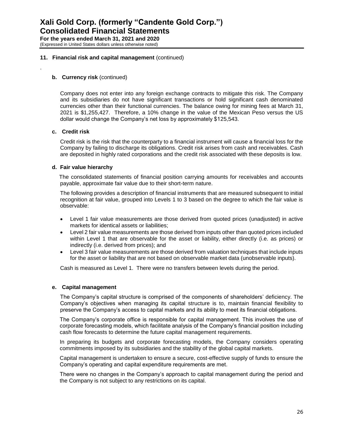## **11. Financial risk and capital management** (continued)

## **b. Currency risk** (continued)

Company does not enter into any foreign exchange contracts to mitigate this risk. The Company and its subsidiaries do not have significant transactions or hold significant cash denominated currencies other than their functional currencies. The balance owing for mining fees at March 31, 2021 is \$1,255,427. Therefore, a 10% change in the value of the Mexican Peso versus the US dollar would change the Company's net loss by approximately \$125,543.

## **c. Credit risk**

.

Credit risk is the risk that the counterparty to a financial instrument will cause a financial loss for the Company by failing to discharge its obligations. Credit risk arises from cash and receivables. Cash are deposited in highly rated corporations and the credit risk associated with these deposits is low.

## **d. Fair value hierarchy**

The consolidated statements of financial position carrying amounts for receivables and accounts payable, approximate fair value due to their short-term nature.

The following provides a description of financial instruments that are measured subsequent to initial recognition at fair value, grouped into Levels 1 to 3 based on the degree to which the fair value is observable:

- Level 1 fair value measurements are those derived from quoted prices (unadjusted) in active markets for identical assets or liabilities;
- Level 2 fair value measurements are those derived from inputs other than quoted prices included within Level 1 that are observable for the asset or liability, either directly (i.e. as prices) or indirectly (i.e. derived from prices); and
- Level 3 fair value measurements are those derived from valuation techniques that include inputs for the asset or liability that are not based on observable market data (unobservable inputs).

Cash is measured as Level 1. There were no transfers between levels during the period.

# **e. Capital management**

The Company's capital structure is comprised of the components of shareholders' deficiency. The Company's objectives when managing its capital structure is to, maintain financial flexibility to preserve the Company's access to capital markets and its ability to meet its financial obligations.

The Company's corporate office is responsible for capital management. This involves the use of corporate forecasting models, which facilitate analysis of the Company's financial position including cash flow forecasts to determine the future capital management requirements.

In preparing its budgets and corporate forecasting models, the Company considers operating commitments imposed by its subsidiaries and the stability of the global capital markets.

Capital management is undertaken to ensure a secure, cost-effective supply of funds to ensure the Company's operating and capital expenditure requirements are met.

There were no changes in the Company's approach to capital management during the period and the Company is not subject to any restrictions on its capital.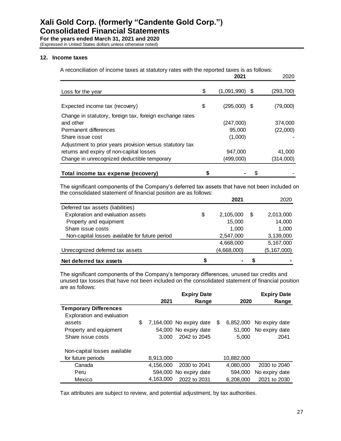(Expressed in United States dollars unless otherwise noted)

## **12. Income taxes**

A reconciliation of income taxes at statutory rates with the reported taxes is as follows:

|                                                                              | 2021                   | 2020       |
|------------------------------------------------------------------------------|------------------------|------------|
| Loss for the year                                                            | \$<br>$(1,091,990)$ \$ | (293, 700) |
| Expected income tax (recovery)                                               | \$<br>$(295,000)$ \$   | (79,000)   |
| Change in statutory, foreign tax, foreign exchange rates<br>and other        | (247,000)              | 374,000    |
| Permanent differences                                                        | 95,000                 | (22,000)   |
| Share issue cost<br>Adjustment to prior years provision versus statutory tax | (1,000)                |            |
| returns and expiry of non-capital losses                                     | 947,000                | 41,000     |
| Change in unrecognized deductible temporary                                  | (499,000)              | (314,000)  |
| Total income tax expense (recovery)                                          | \$                     |            |

The significant components of the Company's deferred tax assets that have not been included on the consolidated statement of financial position are as follows:

|                                                |    | 2021        |   | 2020          |
|------------------------------------------------|----|-------------|---|---------------|
| Deferred tax assets (liabilities)              |    |             |   |               |
| Exploration and evaluation assets              | \$ | 2,105,000   | S | 2,013,000     |
| Property and equipment                         |    | 15,000      |   | 14,000        |
| Share issue costs                              |    | 1,000       |   | 1,000         |
| Non-capital losses available for future period |    | 2,547,000   |   | 3,139,000     |
|                                                |    | 4,668,000   |   | 5,167,000     |
| Unrecognized deferred tax assets               |    | (4,668,000) |   | (5, 167, 000) |
| Net deferred tax assets                        | S  |             | S |               |

The significant components of the Company's temporary differences, unused tax credits and unused tax losses that have not been included on the consolidated statement of financial position are as follows:

|                              |           | <b>Expiry Date</b>       |   |            | <b>Expiry Date</b> |
|------------------------------|-----------|--------------------------|---|------------|--------------------|
|                              | 2021      | Range                    |   | 2020       | Range              |
| <b>Temporary Differences</b> |           |                          |   |            |                    |
| Exploration and evaluation   |           |                          |   |            |                    |
| assets                       | \$        | 7,164,000 No expiry date | S | 6,852,000  | No expiry date     |
| Property and equipment       |           | 54,000 No expiry date    |   | 51.000     | No expiry date     |
| Share issue costs            | 3.000     | 2042 to 2045             |   | 5.000      | 2041               |
| Non-capital losses available |           |                          |   |            |                    |
| for future periods           | 8,913,000 |                          |   | 10,882,000 |                    |
| Canada                       | 4.156.000 | 2030 to 2041             |   | 4,080,000  | 2030 to 2040       |
| Peru                         |           | 594,000 No expiry date   |   | 594,000    | No expiry date     |
| Mexico                       | 4,163,000 | 2022 to 2031             |   | 6,208,000  | 2021 to 2030       |

Tax attributes are subject to review, and potential adjustment, by tax authorities.